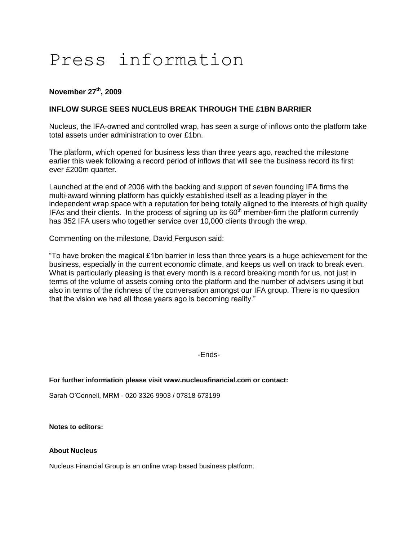# Press information

# **November 27th, 2009**

# **INFLOW SURGE SEES NUCLEUS BREAK THROUGH THE £1BN BARRIER**

Nucleus, the IFA-owned and controlled wrap, has seen a surge of inflows onto the platform take total assets under administration to over £1bn.

The platform, which opened for business less than three years ago, reached the milestone earlier this week following a record period of inflows that will see the business record its first ever £200m quarter.

Launched at the end of 2006 with the backing and support of seven founding IFA firms the multi-award winning platform has quickly established itself as a leading player in the independent wrap space with a reputation for being totally aligned to the interests of high quality IFAs and their clients. In the process of signing up its  $60<sup>th</sup>$  member-firm the platform currently has 352 IFA users who together service over 10,000 clients through the wrap.

Commenting on the milestone, David Ferguson said:

"To have broken the magical  $£1$ bn barrier in less than three years is a huge achievement for the business, especially in the current economic climate, and keeps us well on track to break even. What is particularly pleasing is that every month is a record breaking month for us, not just in terms of the volume of assets coming onto the platform and the number of advisers using it but also in terms of the richness of the conversation amongst our IFA group. There is no question that the vision we had all those years ago is becoming reality."

-Ends-

### **For further information please visit www.nucleusfinancial.com or contact:**

Sarah O'Connell, MRM - 020 3326 9903 / 07818 673199

**Notes to editors:**

### **About Nucleus**

Nucleus Financial Group is an online wrap based business platform.